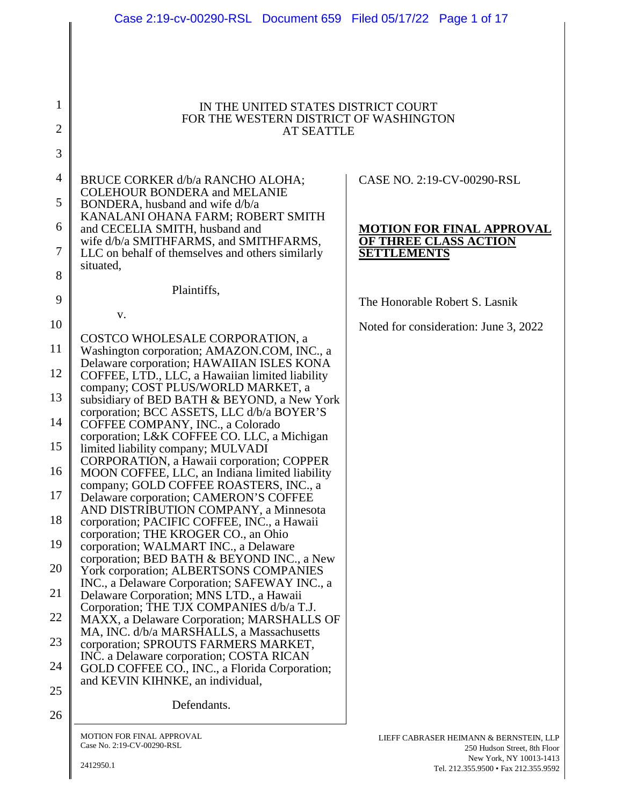|                | Case 2:19-cv-00290-RSL Document 659 Filed 05/17/22 Page 1 of 17                         |                                                                         |
|----------------|-----------------------------------------------------------------------------------------|-------------------------------------------------------------------------|
|                |                                                                                         |                                                                         |
|                |                                                                                         |                                                                         |
|                |                                                                                         |                                                                         |
|                |                                                                                         |                                                                         |
|                |                                                                                         |                                                                         |
| 1              | IN THE UNITED STATES DISTRICT COURT<br>FOR THE WESTERN DISTRICT OF WASHINGTON           |                                                                         |
| $\overline{2}$ | <b>AT SEATTLE</b>                                                                       |                                                                         |
|                |                                                                                         |                                                                         |
| 3              |                                                                                         |                                                                         |
|                |                                                                                         |                                                                         |
| 4              | BRUCE CORKER d/b/a RANCHO ALOHA;<br><b>COLEHOUR BONDERA and MELANIE</b>                 | CASE NO. 2:19-CV-00290-RSL                                              |
| 5              | BONDERA, husband and wife d/b/a                                                         |                                                                         |
|                | KANALANI OHANA FARM; ROBERT SMITH                                                       |                                                                         |
| 6              | and CECELIA SMITH, husband and                                                          | <b>MOTION FOR FINAL APPROVAL</b>                                        |
| 7              | wife d/b/a SMITHFARMS, and SMITHFARMS,                                                  | <b>OF THREE CLASS ACTION</b>                                            |
|                | LLC on behalf of themselves and others similarly<br>situated,                           | <b>SETTLEMENTS</b>                                                      |
| 8              |                                                                                         |                                                                         |
|                | Plaintiffs,                                                                             |                                                                         |
| 9              |                                                                                         | The Honorable Robert S. Lasnik                                          |
| 10             | V.                                                                                      | Noted for consideration: June 3, 2022                                   |
|                | COSTCO WHOLESALE CORPORATION, a                                                         |                                                                         |
| 11             | Washington corporation; AMAZON.COM, INC., a                                             |                                                                         |
|                | Delaware corporation; HAWAIIAN ISLES KONA                                               |                                                                         |
| 12             | COFFEE, LTD., LLC, a Hawaiian limited liability<br>company; COST PLUS/WORLD MARKET, a   |                                                                         |
| 13             | subsidiary of BED BATH & BEYOND, a New York                                             |                                                                         |
|                | corporation; BCC ASSETS, LLC d/b/a BOYER'S                                              |                                                                         |
| 14             | COFFEE COMPANY, INC., a Colorado                                                        |                                                                         |
| 15             | corporation; L&K COFFEE CO. LLC, a Michigan                                             |                                                                         |
|                | limited liability company; MULVADI<br>CORPORATION, a Hawaii corporation; COPPER         |                                                                         |
| 16             | MOON COFFEE, LLC, an Indiana limited liability                                          |                                                                         |
|                | company; GOLD COFFEE ROASTERS, INC., a                                                  |                                                                         |
| 17             | Delaware corporation; CAMERON'S COFFEE                                                  |                                                                         |
| 18             | AND DISTRIBUTION COMPANY, a Minnesota<br>corporation; PACIFIC COFFEE, INC., a Hawaii    |                                                                         |
|                | corporation; THE KROGER CO., an Ohio                                                    |                                                                         |
| 19             | corporation; WALMART INC., a Delaware                                                   |                                                                         |
| 20             | corporation; BED BATH & BEYOND INC., a New                                              |                                                                         |
|                | York corporation; ALBERTSONS COMPANIES<br>INC., a Delaware Corporation; SAFEWAY INC., a |                                                                         |
| 21             | Delaware Corporation; MNS LTD., a Hawaii                                                |                                                                         |
|                | Corporation; THE TJX COMPANIES d/b/a T.J.                                               |                                                                         |
| 22             | MAXX, a Delaware Corporation; MARSHALLS OF                                              |                                                                         |
| 23             | MA, INC. d/b/a MARSHALLS, a Massachusetts<br>corporation; SPROUTS FARMERS MARKET,       |                                                                         |
|                | INC. a Delaware corporation; COSTA RICAN                                                |                                                                         |
| 24             | GOLD COFFEE CO., INC., a Florida Corporation;                                           |                                                                         |
|                | and KEVIN KIHNKE, an individual,                                                        |                                                                         |
| 25             | Defendants.                                                                             |                                                                         |
| 26             |                                                                                         |                                                                         |
|                |                                                                                         |                                                                         |
|                | <b>MOTION FOR FINAL APPROVAL</b><br>Case No. 2:19-CV-00290-RSL                          | LIEFF CABRASER HEIMANN & BERNSTEIN, LLP<br>250 Hudson Street. 8th Floor |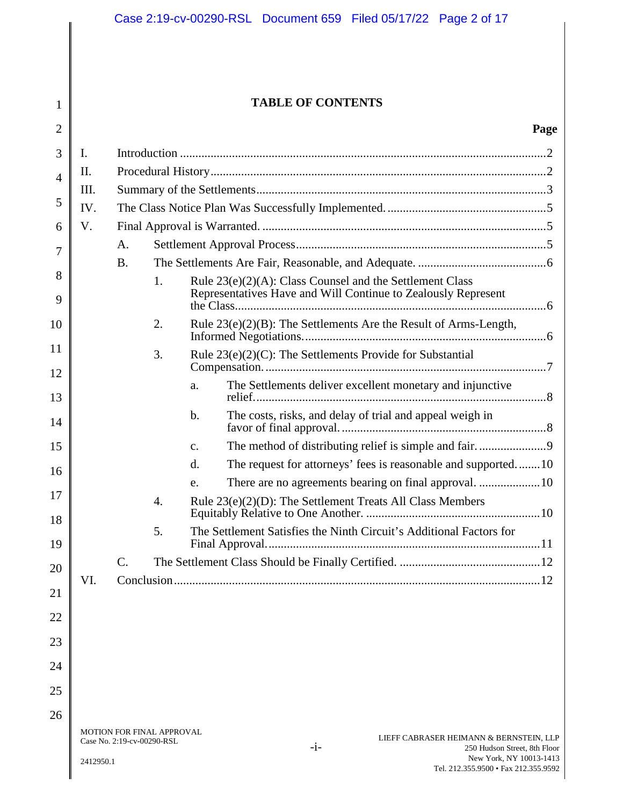# **TABLE OF CONTENTS**

#### **Page**

| $\overline{2}$ |          |                                                         |                                                                 |                                                                                                                              |                                                                                  | Page |
|----------------|----------|---------------------------------------------------------|-----------------------------------------------------------------|------------------------------------------------------------------------------------------------------------------------------|----------------------------------------------------------------------------------|------|
| 3              | I.       |                                                         |                                                                 |                                                                                                                              |                                                                                  |      |
| $\overline{4}$ | II.      |                                                         |                                                                 |                                                                                                                              |                                                                                  |      |
|                | Ш.       |                                                         |                                                                 |                                                                                                                              |                                                                                  |      |
| 5              | IV.      |                                                         |                                                                 |                                                                                                                              |                                                                                  |      |
| 6              | V.       |                                                         |                                                                 |                                                                                                                              |                                                                                  |      |
| 7              |          | A.                                                      |                                                                 |                                                                                                                              |                                                                                  |      |
| 8              |          | <b>B.</b>                                               |                                                                 |                                                                                                                              |                                                                                  |      |
| 9              |          |                                                         | 1.                                                              | Rule $23(e)(2)(A)$ : Class Counsel and the Settlement Class<br>Representatives Have and Will Continue to Zealously Represent |                                                                                  |      |
| 10             |          |                                                         | 2.                                                              |                                                                                                                              | Rule $23(e)(2)(B)$ : The Settlements Are the Result of Arms-Length,              |      |
| 11<br>12       |          |                                                         | Rule 23(e)(2)(C): The Settlements Provide for Substantial<br>3. |                                                                                                                              |                                                                                  |      |
| 13             |          |                                                         |                                                                 | a.                                                                                                                           | The Settlements deliver excellent monetary and injunctive                        |      |
| 14             |          |                                                         |                                                                 | $\mathbf b$ .                                                                                                                | The costs, risks, and delay of trial and appeal weigh in                         |      |
| 15             |          |                                                         |                                                                 | $C_{\bullet}$                                                                                                                |                                                                                  |      |
| 16             |          |                                                         |                                                                 | d.                                                                                                                           | The request for attorneys' fees is reasonable and supported10                    |      |
|                |          |                                                         |                                                                 | e.                                                                                                                           |                                                                                  |      |
| 17<br>18       |          |                                                         | 4.                                                              |                                                                                                                              | Rule $23(e)(2)(D)$ : The Settlement Treats All Class Members                     |      |
| 19             |          |                                                         | 5.                                                              |                                                                                                                              | The Settlement Satisfies the Ninth Circuit's Additional Factors for              |      |
| 20             |          | C.                                                      |                                                                 |                                                                                                                              |                                                                                  |      |
| 21             | VI.      |                                                         |                                                                 |                                                                                                                              |                                                                                  |      |
| 22             |          |                                                         |                                                                 |                                                                                                                              |                                                                                  |      |
| 23             |          |                                                         |                                                                 |                                                                                                                              |                                                                                  |      |
| 24             |          |                                                         |                                                                 |                                                                                                                              |                                                                                  |      |
| 25             |          |                                                         |                                                                 |                                                                                                                              |                                                                                  |      |
| 26             |          |                                                         |                                                                 |                                                                                                                              |                                                                                  |      |
|                |          | MOTION FOR FINAL APPROVAL<br>Case No. 2:19-cv-00290-RSL |                                                                 |                                                                                                                              | LIEFF CABRASER HEIMANN & BERNSTEIN, LLP<br>$-i-$<br>250 Hudson Street, 8th Floor |      |
|                | 24120501 |                                                         |                                                                 |                                                                                                                              | New York, NY 10013-1413                                                          |      |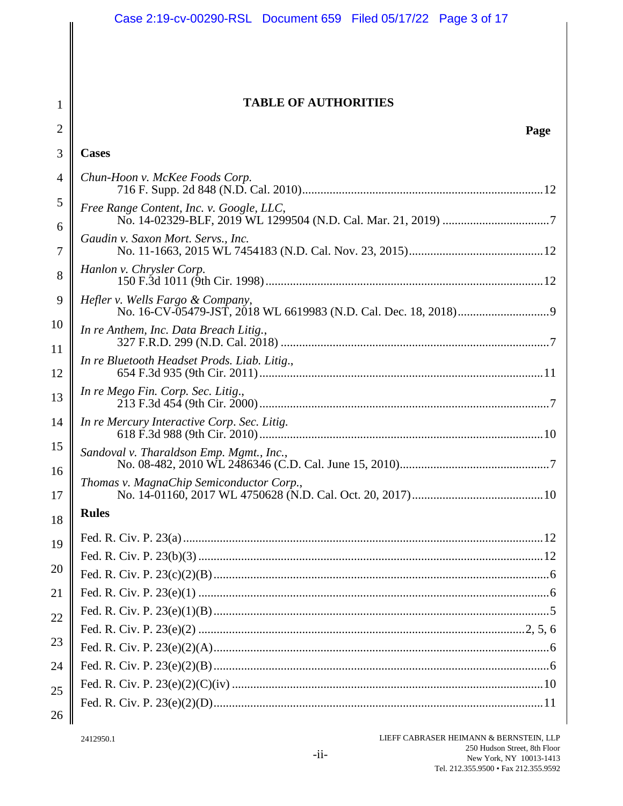|                | Case 2:19-cv-00290-RSL Document 659 Filed 05/17/22 Page 3 of 17 |  |  |  |
|----------------|-----------------------------------------------------------------|--|--|--|
|                |                                                                 |  |  |  |
|                |                                                                 |  |  |  |
| 1              | <b>TABLE OF AUTHORITIES</b>                                     |  |  |  |
| $\overline{2}$ | Page                                                            |  |  |  |
| 3              | <b>Cases</b>                                                    |  |  |  |
| $\overline{4}$ | Chun-Hoon v. McKee Foods Corp.                                  |  |  |  |
| 5              | Free Range Content, Inc. v. Google, LLC,                        |  |  |  |
| 6              |                                                                 |  |  |  |
| 7              | Gaudin v. Saxon Mort. Servs., Inc.                              |  |  |  |
| 8              | Hanlon v. Chrysler Corp.                                        |  |  |  |
| 9              | Hefler v. Wells Fargo & Company,                                |  |  |  |
| 10             | In re Anthem, Inc. Data Breach Litig.,                          |  |  |  |
| 11             | In re Bluetooth Headset Prods. Liab. Litig.,                    |  |  |  |
| 12             |                                                                 |  |  |  |
| 13             | In re Mego Fin. Corp. Sec. Litig.,                              |  |  |  |
| 14             | In re Mercury Interactive Corp. Sec. Litig.                     |  |  |  |
| 15             | Sandoval v. Tharaldson Emp. Mgmt., Inc.,                        |  |  |  |
| 16             | Thomas v. MagnaChip Semiconductor Corp.,                        |  |  |  |
| 17             |                                                                 |  |  |  |
| 18             | <b>Rules</b>                                                    |  |  |  |
| 19             |                                                                 |  |  |  |
| 20             |                                                                 |  |  |  |
| 21             |                                                                 |  |  |  |
|                |                                                                 |  |  |  |
| 22             |                                                                 |  |  |  |
| 23             |                                                                 |  |  |  |
| 24             |                                                                 |  |  |  |
| 25             |                                                                 |  |  |  |
|                |                                                                 |  |  |  |
| 26             |                                                                 |  |  |  |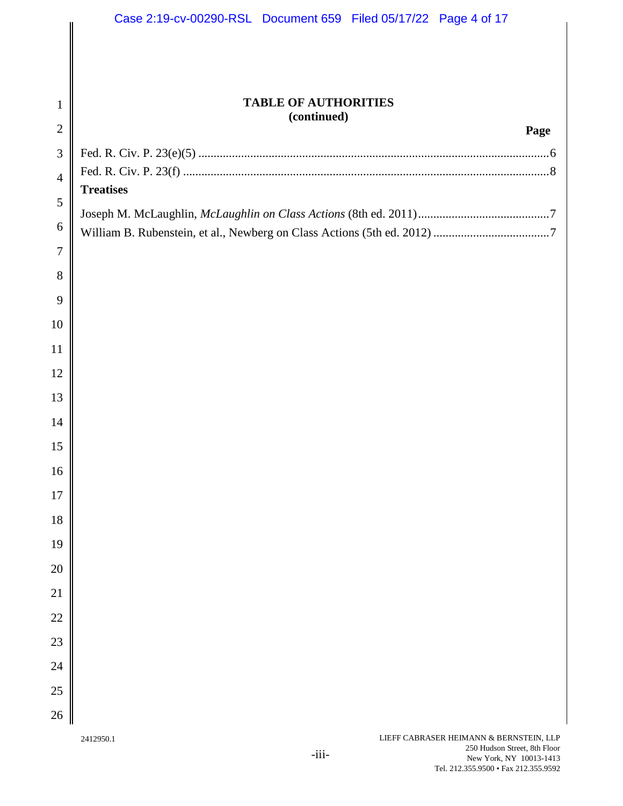|                | Case 2:19-cv-00290-RSL Document 659 Filed 05/17/22 Page 4 of 17 |
|----------------|-----------------------------------------------------------------|
|                |                                                                 |
| $\mathbf{1}$   | <b>TABLE OF AUTHORITIES</b><br>(continued)                      |
| $\sqrt{2}$     | Page                                                            |
| $\mathfrak{Z}$ |                                                                 |
| $\overline{4}$ | <b>Treatises</b>                                                |
| $\mathfrak{S}$ |                                                                 |
| 6              |                                                                 |
| $\tau$         |                                                                 |
| 8              |                                                                 |
| 9              |                                                                 |
| 10             |                                                                 |
| 11             |                                                                 |
| 12             |                                                                 |
| 13             |                                                                 |
| 14             |                                                                 |
| 15             |                                                                 |
| 16             |                                                                 |
| 17             |                                                                 |
| 18             |                                                                 |
| 19             |                                                                 |
| 20             |                                                                 |
| 21             |                                                                 |
| $22\,$         |                                                                 |
| 23             |                                                                 |
| 24             |                                                                 |
| $25\,$         |                                                                 |
| 26             |                                                                 |
|                | LIEFF CABRASER HEIMANN & BERNSTEIN, LLP<br>2412950.1            |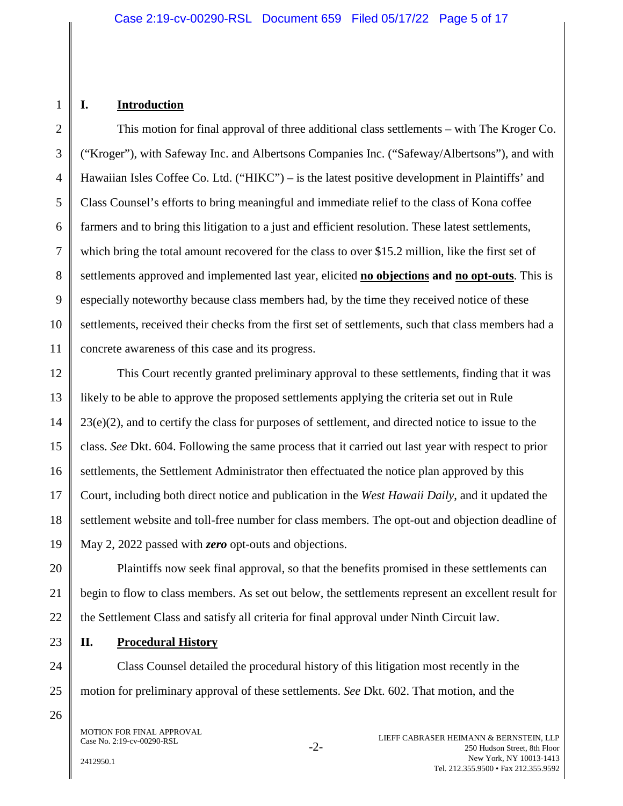#### **I. Introduction**

1

2

3

4

5

6

7

8

9

10

11

12

13

14

15

16

17

18

19

20

21

22

23

24

25

26

This motion for final approval of three additional class settlements – with The Kroger Co. ("Kroger"), with Safeway Inc. and Albertsons Companies Inc. ("Safeway/Albertsons"), and with Hawaiian Isles Coffee Co. Ltd. ("HIKC") – is the latest positive development in Plaintiffs' and Class Counsel's efforts to bring meaningful and immediate relief to the class of Kona coffee farmers and to bring this litigation to a just and efficient resolution. These latest settlements, which bring the total amount recovered for the class to over \$15.2 million, like the first set of settlements approved and implemented last year, elicited **no objections and no opt-outs**. This is especially noteworthy because class members had, by the time they received notice of these settlements, received their checks from the first set of settlements, such that class members had a concrete awareness of this case and its progress.

This Court recently granted preliminary approval to these settlements, finding that it was likely to be able to approve the proposed settlements applying the criteria set out in Rule  $23(e)(2)$ , and to certify the class for purposes of settlement, and directed notice to issue to the class. *See* Dkt. 604. Following the same process that it carried out last year with respect to prior settlements, the Settlement Administrator then effectuated the notice plan approved by this Court, including both direct notice and publication in the *West Hawaii Daily*, and it updated the settlement website and toll-free number for class members. The opt-out and objection deadline of May 2, 2022 passed with *zero* opt-outs and objections.

Plaintiffs now seek final approval, so that the benefits promised in these settlements can begin to flow to class members. As set out below, the settlements represent an excellent result for the Settlement Class and satisfy all criteria for final approval under Ninth Circuit law.

**II. Procedural History** 

Class Counsel detailed the procedural history of this litigation most recently in the motion for preliminary approval of these settlements. *See* Dkt. 602. That motion, and the

MOTION FOR FINAL APPROVAL Case No. 2:19-cv-00290-RSL

2412950.1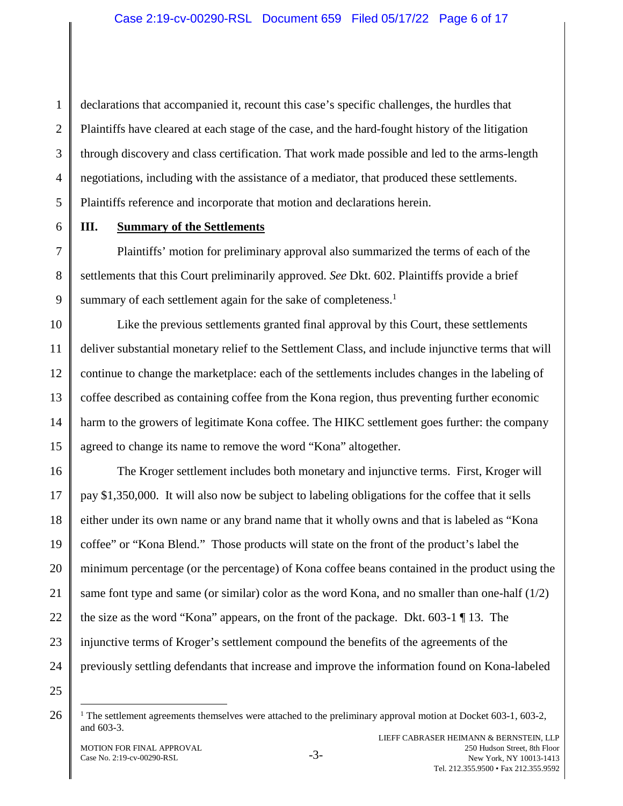declarations that accompanied it, recount this case's specific challenges, the hurdles that Plaintiffs have cleared at each stage of the case, and the hard-fought history of the litigation through discovery and class certification. That work made possible and led to the arms-length negotiations, including with the assistance of a mediator, that produced these settlements. Plaintiffs reference and incorporate that motion and declarations herein.

1

2

3

4

5

6

7

8

9

10

11

12

13

14

15

#### **III. Summary of the Settlements**

Plaintiffs' motion for preliminary approval also summarized the terms of each of the settlements that this Court preliminarily approved. *See* Dkt. 602. Plaintiffs provide a brief summary of each settlement again for the sake of completeness.<sup>1</sup>

Like the previous settlements granted final approval by this Court, these settlements deliver substantial monetary relief to the Settlement Class, and include injunctive terms that will continue to change the marketplace: each of the settlements includes changes in the labeling of coffee described as containing coffee from the Kona region, thus preventing further economic harm to the growers of legitimate Kona coffee. The HIKC settlement goes further: the company agreed to change its name to remove the word "Kona" altogether.

16 17 18 19 20 21 22 23 24 The Kroger settlement includes both monetary and injunctive terms. First, Kroger will pay \$1,350,000. It will also now be subject to labeling obligations for the coffee that it sells either under its own name or any brand name that it wholly owns and that is labeled as "Kona coffee" or "Kona Blend." Those products will state on the front of the product's label the minimum percentage (or the percentage) of Kona coffee beans contained in the product using the same font type and same (or similar) color as the word Kona, and no smaller than one-half (1/2) the size as the word "Kona" appears, on the front of the package. Dkt. 603-1 ¶ 13. The injunctive terms of Kroger's settlement compound the benefits of the agreements of the previously settling defendants that increase and improve the information found on Kona-labeled

25

<sup>&</sup>lt;sup>1</sup> The settlement agreements themselves were attached to the preliminary approval motion at Docket 603-1, 603-2, and 603-3.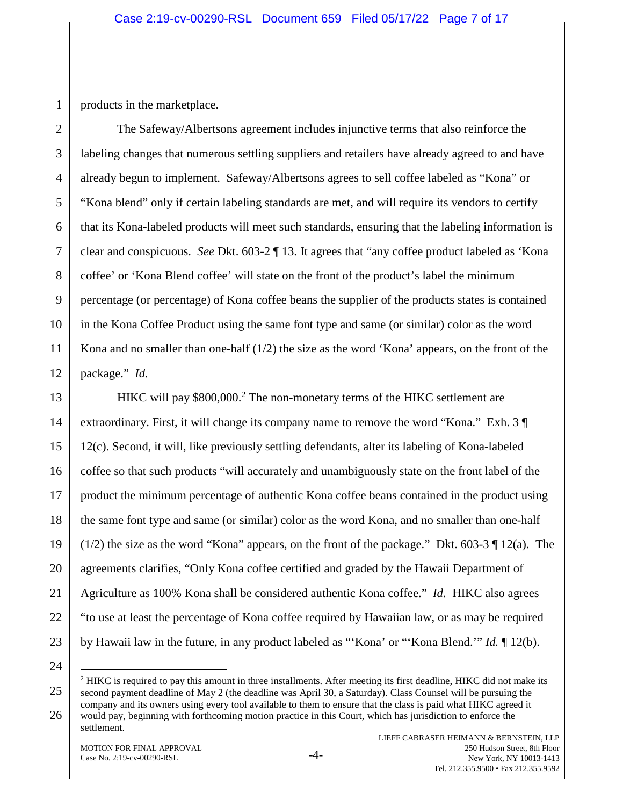products in the marketplace.

1

2

3

4

5

6

7

8

9

10

11

12

13

15

17

18

19

21

22

The Safeway/Albertsons agreement includes injunctive terms that also reinforce the labeling changes that numerous settling suppliers and retailers have already agreed to and have already begun to implement. Safeway/Albertsons agrees to sell coffee labeled as "Kona" or "Kona blend" only if certain labeling standards are met, and will require its vendors to certify that its Kona-labeled products will meet such standards, ensuring that the labeling information is clear and conspicuous. *See* Dkt. 603-2 ¶ 13. It agrees that "any coffee product labeled as 'Kona coffee' or 'Kona Blend coffee' will state on the front of the product's label the minimum percentage (or percentage) of Kona coffee beans the supplier of the products states is contained in the Kona Coffee Product using the same font type and same (or similar) color as the word Kona and no smaller than one-half  $(1/2)$  the size as the word 'Kona' appears, on the front of the package." *Id.* 

14 16 20 23 HIKC will pay \$800,000.<sup>2</sup> The non-monetary terms of the HIKC settlement are extraordinary. First, it will change its company name to remove the word "Kona." Exh. 3 ¶ 12(c). Second, it will, like previously settling defendants, alter its labeling of Kona-labeled coffee so that such products "will accurately and unambiguously state on the front label of the product the minimum percentage of authentic Kona coffee beans contained in the product using the same font type and same (or similar) color as the word Kona, and no smaller than one-half  $(1/2)$  the size as the word "Kona" appears, on the front of the package." Dkt. 603-3 ¶ 12(a). The agreements clarifies, "Only Kona coffee certified and graded by the Hawaii Department of Agriculture as 100% Kona shall be considered authentic Kona coffee." *Id.* HIKC also agrees "to use at least the percentage of Kona coffee required by Hawaiian law, or as may be required by Hawaii law in the future, in any product labeled as "'Kona' or "'Kona Blend.'" *Id.* ¶ 12(b).

24

25

26

 $2$  HIKC is required to pay this amount in three installments. After meeting its first deadline, HIKC did not make its second payment deadline of May 2 (the deadline was April 30, a Saturday). Class Counsel will be pursuing the company and its owners using every tool available to them to ensure that the class is paid what HIKC agreed it would pay, beginning with forthcoming motion practice in this Court, which has jurisdiction to enforce the

settlement.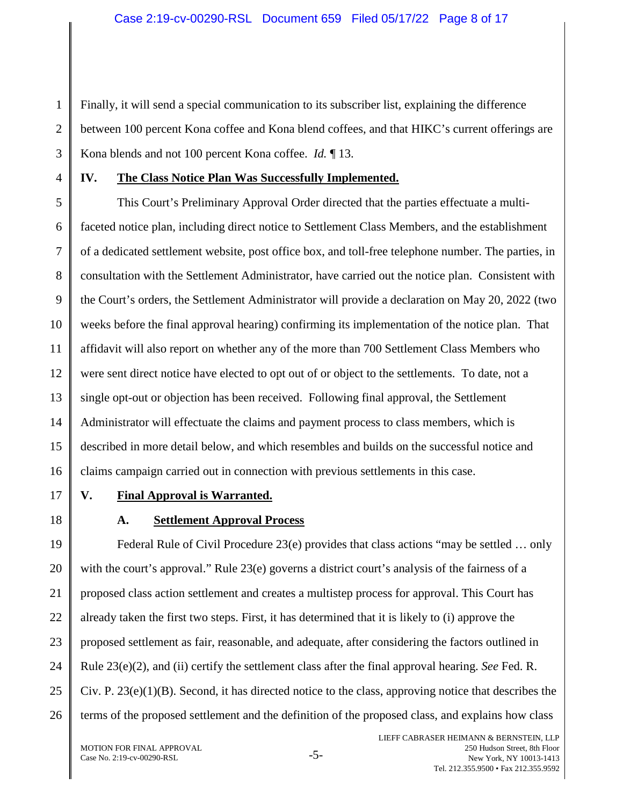Finally, it will send a special communication to its subscriber list, explaining the difference between 100 percent Kona coffee and Kona blend coffees, and that HIKC's current offerings are Kona blends and not 100 percent Kona coffee. *Id.* ¶ 13.

1

2

3

4

### **IV. The Class Notice Plan Was Successfully Implemented.**

5 6 7 8 9 10 11 12 13 14 15 16 This Court's Preliminary Approval Order directed that the parties effectuate a multifaceted notice plan, including direct notice to Settlement Class Members, and the establishment of a dedicated settlement website, post office box, and toll-free telephone number. The parties, in consultation with the Settlement Administrator, have carried out the notice plan. Consistent with the Court's orders, the Settlement Administrator will provide a declaration on May 20, 2022 (two weeks before the final approval hearing) confirming its implementation of the notice plan. That affidavit will also report on whether any of the more than 700 Settlement Class Members who were sent direct notice have elected to opt out of or object to the settlements. To date, not a single opt-out or objection has been received. Following final approval, the Settlement Administrator will effectuate the claims and payment process to class members, which is described in more detail below, and which resembles and builds on the successful notice and claims campaign carried out in connection with previous settlements in this case.

17

#### **V. Final Approval is Warranted.**

18

# **A. Settlement Approval Process**

19 20 21 22 23 24 25 26 Federal Rule of Civil Procedure 23(e) provides that class actions "may be settled … only with the court's approval." Rule 23(e) governs a district court's analysis of the fairness of a proposed class action settlement and creates a multistep process for approval. This Court has already taken the first two steps. First, it has determined that it is likely to (i) approve the proposed settlement as fair, reasonable, and adequate, after considering the factors outlined in Rule 23(e)(2), and (ii) certify the settlement class after the final approval hearing. *See* Fed. R. Civ. P. 23(e)(1)(B). Second, it has directed notice to the class, approving notice that describes the terms of the proposed settlement and the definition of the proposed class, and explains how class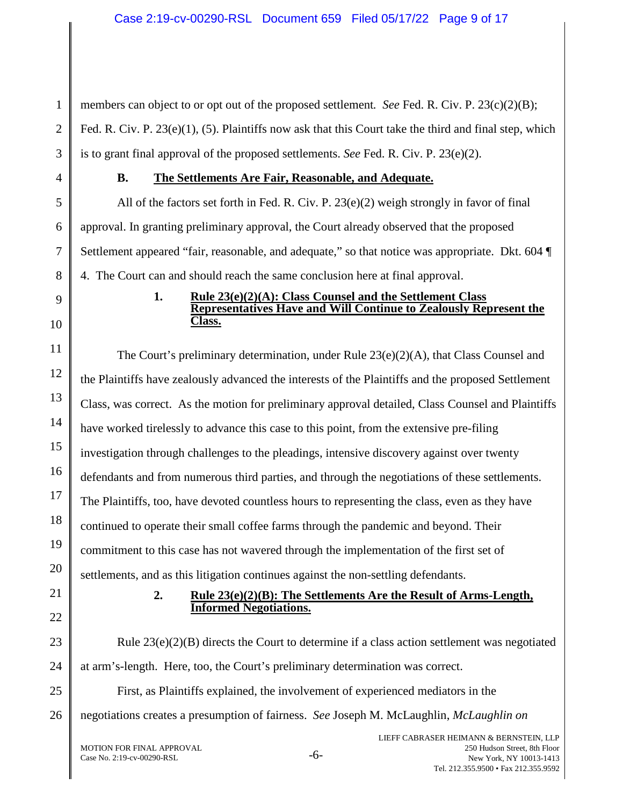members can object to or opt out of the proposed settlement*. See* Fed. R. Civ. P. 23(c)(2)(B); Fed. R. Civ. P. 23(e)(1), (5). Plaintiffs now ask that this Court take the third and final step, which is to grant final approval of the proposed settlements. *See* Fed. R. Civ. P. 23(e)(2).

1

2

3

4

5

6

7

8

9

10

11

12

13

14

15

16

17

18

19

20

21

22

23

24

25

26

### **B. The Settlements Are Fair, Reasonable, and Adequate.**

All of the factors set forth in Fed. R. Civ. P. 23(e)(2) weigh strongly in favor of final approval. In granting preliminary approval, the Court already observed that the proposed Settlement appeared "fair, reasonable, and adequate," so that notice was appropriate. Dkt. 604 4. The Court can and should reach the same conclusion here at final approval.

#### **1. Rule 23(e)(2)(A): Class Counsel and the Settlement Class Representatives Have and Will Continue to Zealously Represent the Class.**

The Court's preliminary determination, under Rule  $23(e)(2)(A)$ , that Class Counsel and the Plaintiffs have zealously advanced the interests of the Plaintiffs and the proposed Settlement Class, was correct. As the motion for preliminary approval detailed, Class Counsel and Plaintiffs have worked tirelessly to advance this case to this point, from the extensive pre-filing investigation through challenges to the pleadings, intensive discovery against over twenty defendants and from numerous third parties, and through the negotiations of these settlements. The Plaintiffs, too, have devoted countless hours to representing the class, even as they have continued to operate their small coffee farms through the pandemic and beyond. Their commitment to this case has not wavered through the implementation of the first set of settlements, and as this litigation continues against the non-settling defendants.

#### **2. Rule 23(e)(2)(B): The Settlements Are the Result of Arms-Length, Informed Negotiations.**

Rule  $23(e)(2)(B)$  directs the Court to determine if a class action settlement was negotiated at arm's-length. Here, too, the Court's preliminary determination was correct.

First, as Plaintiffs explained, the involvement of experienced mediators in the negotiations creates a presumption of fairness. *See* Joseph M. McLaughlin, *McLaughlin on*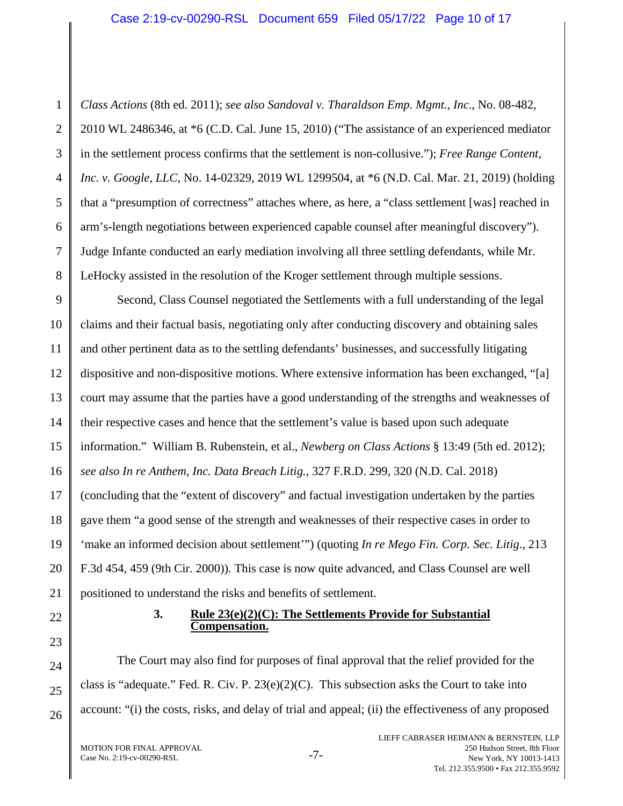#### Case 2:19-cv-00290-RSL Document 659 Filed 05/17/22 Page 10 of 17

1

*Class Actions* (8th ed. 2011); *see also Sandoval v. Tharaldson Emp. Mgmt., Inc.*, No. 08-482, 2010 WL 2486346, at \*6 (C.D. Cal. June 15, 2010) ("The assistance of an experienced mediator in the settlement process confirms that the settlement is non-collusive."); *Free Range Content, Inc. v. Google, LLC*, No. 14-02329, 2019 WL 1299504, at \*6 (N.D. Cal. Mar. 21, 2019) (holding that a "presumption of correctness" attaches where, as here, a "class settlement [was] reached in arm's-length negotiations between experienced capable counsel after meaningful discovery"). Judge Infante conducted an early mediation involving all three settling defendants, while Mr. LeHocky assisted in the resolution of the Kroger settlement through multiple sessions.

Second, Class Counsel negotiated the Settlements with a full understanding of the legal claims and their factual basis, negotiating only after conducting discovery and obtaining sales and other pertinent data as to the settling defendants' businesses, and successfully litigating dispositive and non-dispositive motions. Where extensive information has been exchanged, "[a] court may assume that the parties have a good understanding of the strengths and weaknesses of their respective cases and hence that the settlement's value is based upon such adequate information." William B. Rubenstein, et al., *Newberg on Class Actions* § 13:49 (5th ed. 2012); *see also In re Anthem, Inc. Data Breach Litig.*, 327 F.R.D. 299, 320 (N.D. Cal. 2018) (concluding that the "extent of discovery" and factual investigation undertaken by the parties gave them "a good sense of the strength and weaknesses of their respective cases in order to 'make an informed decision about settlement'") (quoting *In re Mego Fin. Corp. Sec. Litig*., 213 F.3d 454, 459 (9th Cir. 2000)). This case is now quite advanced, and Class Counsel are well positioned to understand the risks and benefits of settlement.

#### **3. Rule 23(e)(2)(C): The Settlements Provide for Substantial Compensation.**

The Court may also find for purposes of final approval that the relief provided for the class is "adequate." Fed. R. Civ. P.  $23(e)(2)(C)$ . This subsection asks the Court to take into account: "(i) the costs, risks, and delay of trial and appeal; (ii) the effectiveness of any proposed

MOTION FOR FINAL APPROVAL MOTION FOR FINAL APPROVAL<br>Case No. 2:19-cv-00290-RSL -7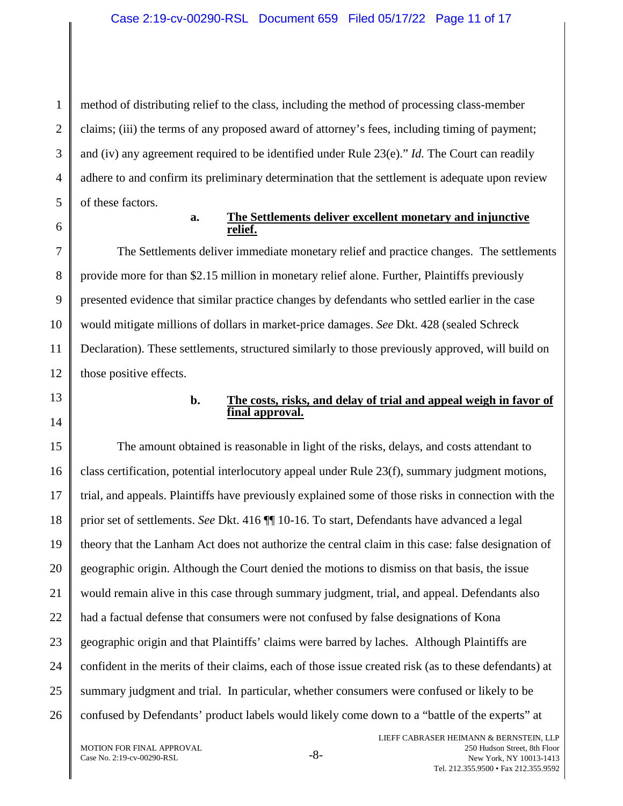method of distributing relief to the class, including the method of processing class-member claims; (iii) the terms of any proposed award of attorney's fees, including timing of payment; and (iv) any agreement required to be identified under Rule 23(e)." *Id.* The Court can readily adhere to and confirm its preliminary determination that the settlement is adequate upon review of these factors.

1

2

3

4

5

6

7

8

9

10

11

12

#### **a. The Settlements deliver excellent monetary and injunctive relief.**

The Settlements deliver immediate monetary relief and practice changes. The settlements provide more for than \$2.15 million in monetary relief alone. Further, Plaintiffs previously presented evidence that similar practice changes by defendants who settled earlier in the case would mitigate millions of dollars in market-price damages. *See* Dkt. 428 (sealed Schreck Declaration). These settlements, structured similarly to those previously approved, will build on those positive effects.

# 13

# 14

# **b. The costs, risks, and delay of trial and appeal weigh in favor of final approval.**

15 16 17 18 19 20 21 22 23 24 25 26 The amount obtained is reasonable in light of the risks, delays, and costs attendant to class certification, potential interlocutory appeal under Rule 23(f), summary judgment motions, trial, and appeals. Plaintiffs have previously explained some of those risks in connection with the prior set of settlements. *See* Dkt. 416 ¶¶ 10-16. To start, Defendants have advanced a legal theory that the Lanham Act does not authorize the central claim in this case: false designation of geographic origin. Although the Court denied the motions to dismiss on that basis, the issue would remain alive in this case through summary judgment, trial, and appeal. Defendants also had a factual defense that consumers were not confused by false designations of Kona geographic origin and that Plaintiffs' claims were barred by laches. Although Plaintiffs are confident in the merits of their claims, each of those issue created risk (as to these defendants) at summary judgment and trial. In particular, whether consumers were confused or likely to be confused by Defendants' product labels would likely come down to a "battle of the experts" at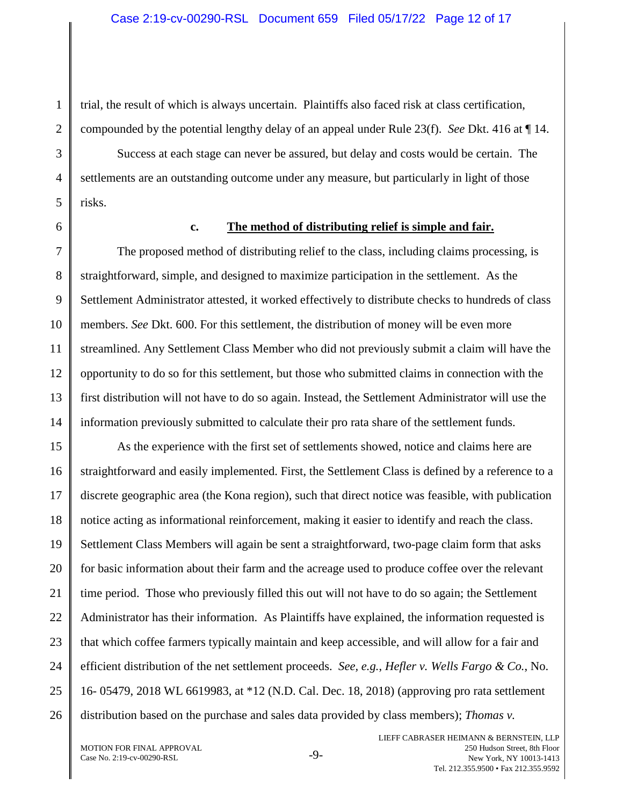trial, the result of which is always uncertain. Plaintiffs also faced risk at class certification, compounded by the potential lengthy delay of an appeal under Rule 23(f). *See* Dkt. 416 at ¶ 14.

Success at each stage can never be assured, but delay and costs would be certain. The settlements are an outstanding outcome under any measure, but particularly in light of those risks.

1

2

3

4

5

6

7

8

9

10

11

12

13

14

#### **c. The method of distributing relief is simple and fair.**

The proposed method of distributing relief to the class, including claims processing, is straightforward, simple, and designed to maximize participation in the settlement. As the Settlement Administrator attested, it worked effectively to distribute checks to hundreds of class members. *See* Dkt. 600. For this settlement, the distribution of money will be even more streamlined. Any Settlement Class Member who did not previously submit a claim will have the opportunity to do so for this settlement, but those who submitted claims in connection with the first distribution will not have to do so again. Instead, the Settlement Administrator will use the information previously submitted to calculate their pro rata share of the settlement funds.

15 16 17 18 19 20 21 22 23 24 25 26 As the experience with the first set of settlements showed, notice and claims here are straightforward and easily implemented. First, the Settlement Class is defined by a reference to a discrete geographic area (the Kona region), such that direct notice was feasible, with publication notice acting as informational reinforcement, making it easier to identify and reach the class. Settlement Class Members will again be sent a straightforward, two-page claim form that asks for basic information about their farm and the acreage used to produce coffee over the relevant time period. Those who previously filled this out will not have to do so again; the Settlement Administrator has their information. As Plaintiffs have explained, the information requested is that which coffee farmers typically maintain and keep accessible, and will allow for a fair and efficient distribution of the net settlement proceeds. *See, e.g.*, *Hefler v. Wells Fargo & Co.*, No. 16- 05479, 2018 WL 6619983, at \*12 (N.D. Cal. Dec. 18, 2018) (approving pro rata settlement distribution based on the purchase and sales data provided by class members); *Thomas v.*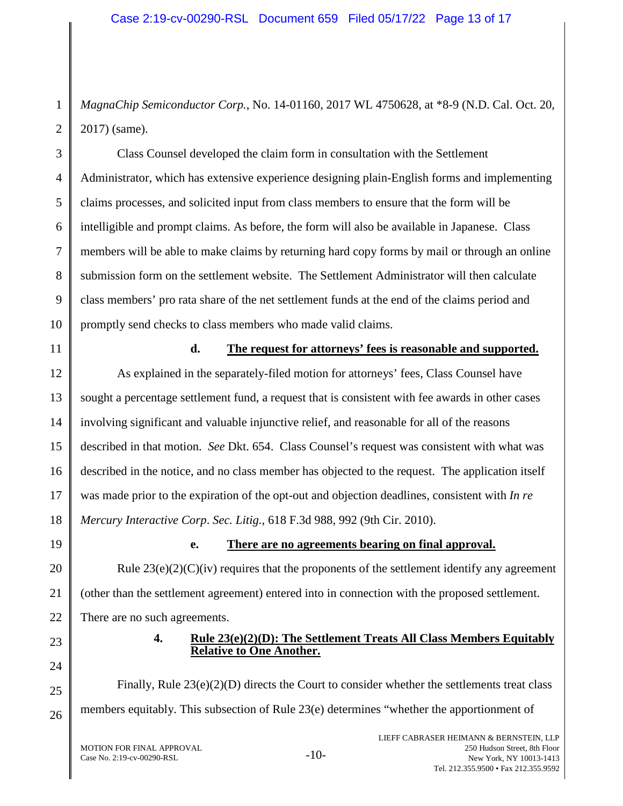*MagnaChip Semiconductor Corp.*, No. 14-01160, 2017 WL 4750628, at \*8-9 (N.D. Cal. Oct. 20, 2017) (same).

Class Counsel developed the claim form in consultation with the Settlement Administrator, which has extensive experience designing plain-English forms and implementing claims processes, and solicited input from class members to ensure that the form will be intelligible and prompt claims. As before, the form will also be available in Japanese. Class members will be able to make claims by returning hard copy forms by mail or through an online submission form on the settlement website. The Settlement Administrator will then calculate class members' pro rata share of the net settlement funds at the end of the claims period and promptly send checks to class members who made valid claims.

1

#### **d. The request for attorneys' fees is reasonable and supported.**

As explained in the separately-filed motion for attorneys' fees, Class Counsel have sought a percentage settlement fund, a request that is consistent with fee awards in other cases involving significant and valuable injunctive relief, and reasonable for all of the reasons described in that motion. *See* Dkt. 654. Class Counsel's request was consistent with what was described in the notice, and no class member has objected to the request. The application itself was made prior to the expiration of the opt-out and objection deadlines, consistent with *In re Mercury Interactive Corp*. *Sec. Litig.*, 618 F.3d 988, 992 (9th Cir. 2010).

# **e. There are no agreements bearing on final approval.**

Rule  $23(e)(2)(C)(iv)$  requires that the proponents of the settlement identify any agreement (other than the settlement agreement) entered into in connection with the proposed settlement. There are no such agreements.

# **4. Rule 23(e)(2)(D): The Settlement Treats All Class Members Equitably Relative to One Another.**

Finally, Rule  $23(e)(2)(D)$  directs the Court to consider whether the settlements treat class members equitably. This subsection of Rule 23(e) determines "whether the apportionment of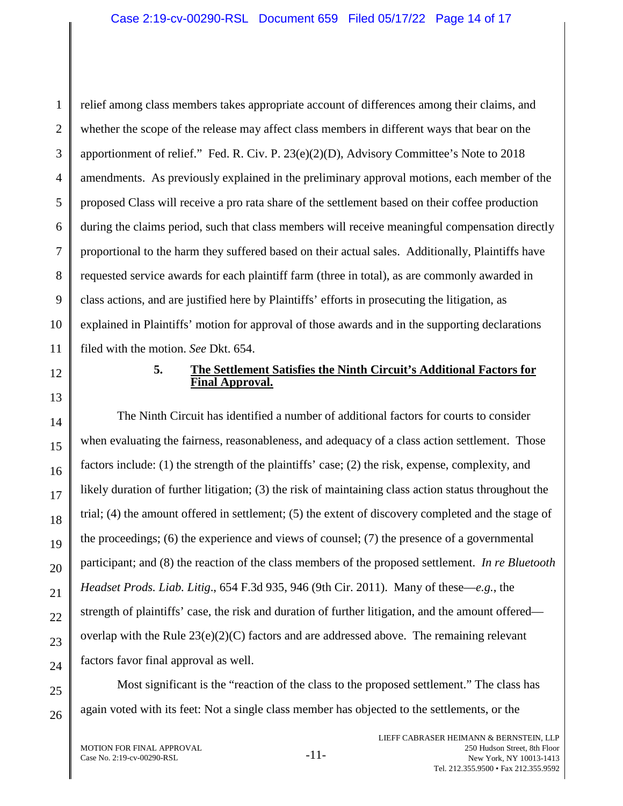relief among class members takes appropriate account of differences among their claims, and whether the scope of the release may affect class members in different ways that bear on the apportionment of relief." Fed. R. Civ. P. 23(e)(2)(D), Advisory Committee's Note to 2018 amendments. As previously explained in the preliminary approval motions, each member of the proposed Class will receive a pro rata share of the settlement based on their coffee production during the claims period, such that class members will receive meaningful compensation directly proportional to the harm they suffered based on their actual sales. Additionally, Plaintiffs have requested service awards for each plaintiff farm (three in total), as are commonly awarded in class actions, and are justified here by Plaintiffs' efforts in prosecuting the litigation, as explained in Plaintiffs' motion for approval of those awards and in the supporting declarations filed with the motion. *See* Dkt. 654.

#### **5. The Settlement Satisfies the Ninth Circuit's Additional Factors for Final Approval.**

The Ninth Circuit has identified a number of additional factors for courts to consider when evaluating the fairness, reasonableness, and adequacy of a class action settlement. Those factors include: (1) the strength of the plaintiffs' case; (2) the risk, expense, complexity, and likely duration of further litigation; (3) the risk of maintaining class action status throughout the trial; (4) the amount offered in settlement; (5) the extent of discovery completed and the stage of the proceedings; (6) the experience and views of counsel; (7) the presence of a governmental participant; and (8) the reaction of the class members of the proposed settlement. *In re Bluetooth Headset Prods. Liab. Litig*., 654 F.3d 935, 946 (9th Cir. 2011). Many of these—*e.g.*, the strength of plaintiffs' case, the risk and duration of further litigation, and the amount offered overlap with the Rule  $23(e)(2)(C)$  factors and are addressed above. The remaining relevant factors favor final approval as well.

Most significant is the "reaction of the class to the proposed settlement." The class has again voted with its feet: Not a single class member has objected to the settlements, or the

1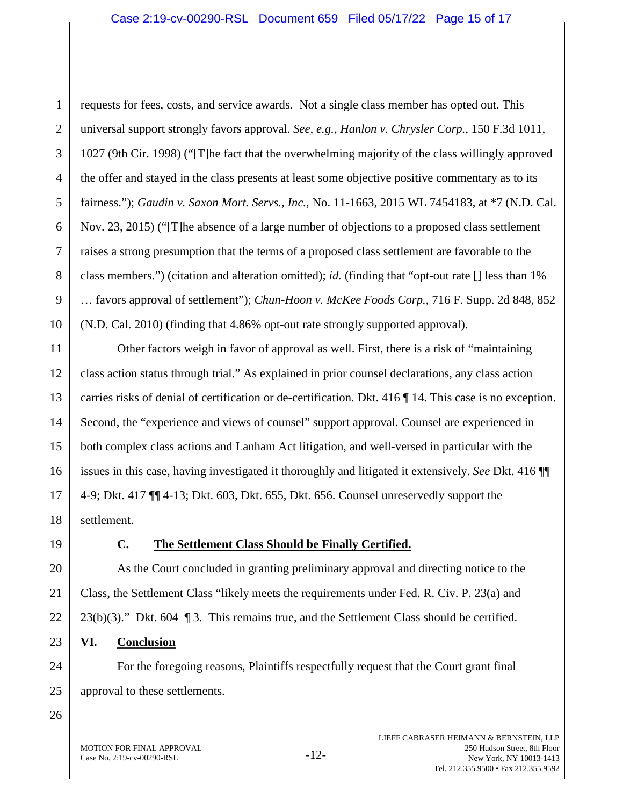requests for fees, costs, and service awards. Not a single class member has opted out. This universal support strongly favors approval. *See, e.g.*, *Hanlon v. Chrysler Corp.*, 150 F.3d 1011, 1027 (9th Cir. 1998) ("[T]he fact that the overwhelming majority of the class willingly approved the offer and stayed in the class presents at least some objective positive commentary as to its fairness."); *Gaudin v. Saxon Mort. Servs., Inc.*, No. 11-1663, 2015 WL 7454183, at \*7 (N.D. Cal. Nov. 23, 2015) ("[T]he absence of a large number of objections to a proposed class settlement raises a strong presumption that the terms of a proposed class settlement are favorable to the class members.") (citation and alteration omitted); *id.* (finding that "opt-out rate [] less than 1% … favors approval of settlement"); *Chun-Hoon v. McKee Foods Corp.*, 716 F. Supp. 2d 848, 852 (N.D. Cal. 2010) (finding that 4.86% opt-out rate strongly supported approval).

Other factors weigh in favor of approval as well. First, there is a risk of "maintaining class action status through trial." As explained in prior counsel declarations, any class action carries risks of denial of certification or de-certification. Dkt. 416 ¶ 14. This case is no exception. Second, the "experience and views of counsel" support approval. Counsel are experienced in both complex class actions and Lanham Act litigation, and well-versed in particular with the issues in this case, having investigated it thoroughly and litigated it extensively. *See* Dkt. 416 ¶¶ 4-9; Dkt. 417 ¶¶ 4-13; Dkt. 603, Dkt. 655, Dkt. 656. Counsel unreservedly support the settlement.

1

2

3

4

5

6

7

8

9

10

11

12

13

14

15

16

17

18

19

20

21

22

23

24

25

# **C. The Settlement Class Should be Finally Certified.**

As the Court concluded in granting preliminary approval and directing notice to the Class, the Settlement Class "likely meets the requirements under Fed. R. Civ. P. 23(a) and  $23(b)(3)$ ." Dkt. 604 ¶ 3. This remains true, and the Settlement Class should be certified.

# **VI. Conclusion**

For the foregoing reasons, Plaintiffs respectfully request that the Court grant final approval to these settlements.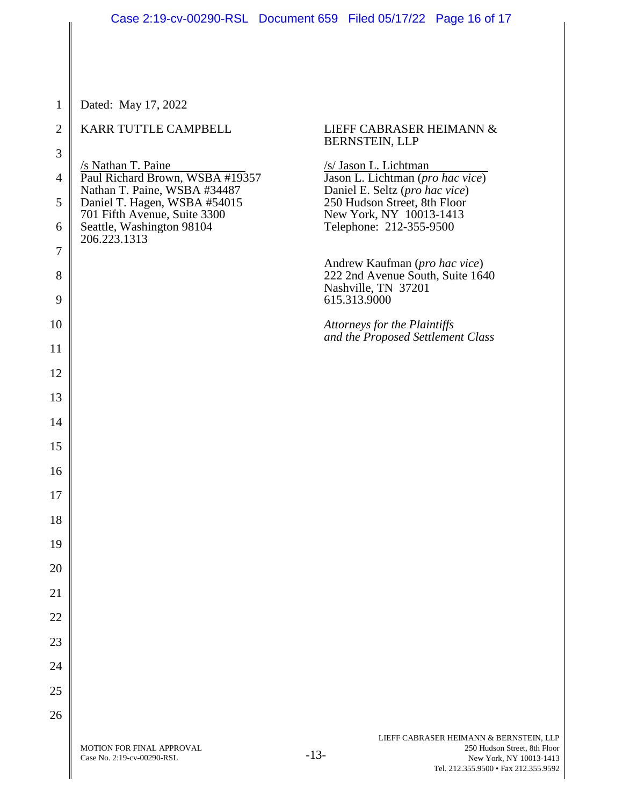| $\mathbf{1}$   | Dated: May 17, 2022                                             |                                                                         |
|----------------|-----------------------------------------------------------------|-------------------------------------------------------------------------|
| $\overline{2}$ | KARR TUTTLE CAMPBELL                                            | LIEFF CABRASER HEIMANN &<br>BERNSTEIN, LLP                              |
| $\mathfrak{Z}$ | /s Nathan T. Paine                                              | /s/ Jason L. Lichtman                                                   |
| 4              | Paul Richard Brown, WSBA #19357<br>Nathan T. Paine, WSBA #34487 | Jason L. Lichtman (pro hac vice)<br>Daniel E. Seltz (pro hac vice)      |
| 5              | Daniel T. Hagen, WSBA #54015<br>701 Fifth Avenue, Suite 3300    | 250 Hudson Street, 8th Floor<br>New York, NY 10013-1413                 |
| 6              | Seattle, Washington 98104<br>206.223.1313                       | Telephone: 212-355-9500                                                 |
| 7              |                                                                 | Andrew Kaufman (pro hac vice)                                           |
| $8\,$<br>9     |                                                                 | 222 2nd Avenue South, Suite 1640<br>Nashville, TN 37201<br>615.313.9000 |
| 10             |                                                                 | Attorneys for the Plaintiffs                                            |
| 11             |                                                                 | and the Proposed Settlement Class                                       |
| 12             |                                                                 |                                                                         |
| 13             |                                                                 |                                                                         |
| 14             |                                                                 |                                                                         |
| 15             |                                                                 |                                                                         |
| 16             |                                                                 |                                                                         |
| 17             |                                                                 |                                                                         |
| 18             |                                                                 |                                                                         |
| 19             |                                                                 |                                                                         |
| 20             |                                                                 |                                                                         |
| 21             |                                                                 |                                                                         |
| 22             |                                                                 |                                                                         |
| 23             |                                                                 |                                                                         |
| 24             |                                                                 |                                                                         |
| 25             |                                                                 |                                                                         |
| 26             |                                                                 |                                                                         |
|                |                                                                 | LIEFF CABRASER HEIMANN & BERNSTEIN                                      |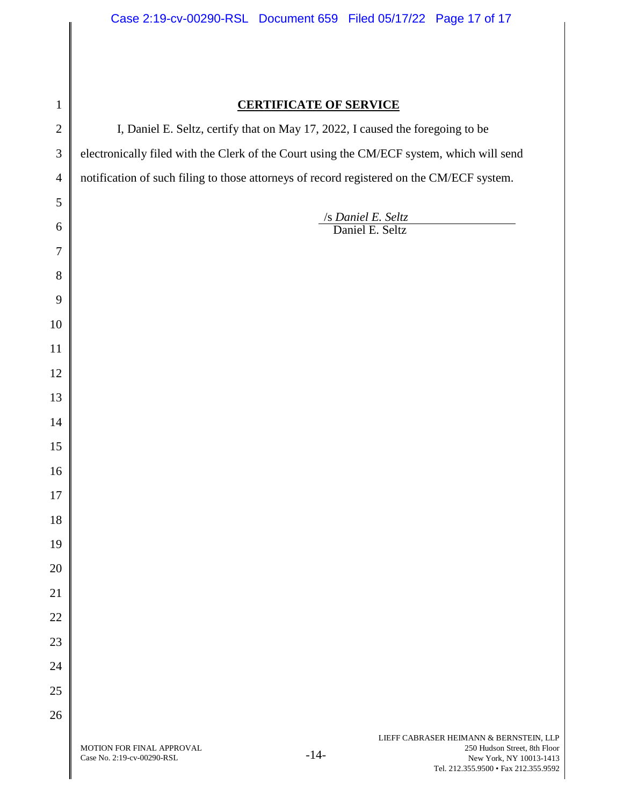# 

# **CERTIFICATE OF SERVICE**

I, Daniel E. Seltz, certify that on May 17, 2022, I caused the foregoing to be electronically filed with the Clerk of the Court using the CM/ECF system, which will send notification of such filing to those attorneys of record registered on the CM/ECF system.

> /s *Daniel E. Seltz*  Daniel E. Seltz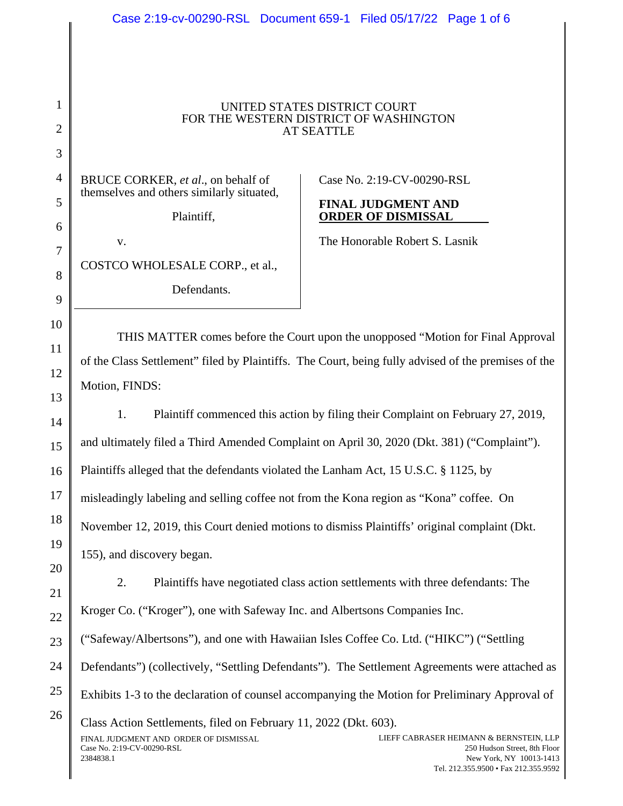# Case 2:19-cv-00290-RSL Document 659-1 Filed 05/17/22 Page 1 of 6

#### UNITED STATES DISTRICT COURT FOR THE WESTERN DISTRICT OF WASHINGTON AT SEATTLE

BRUCE CORKER, *et al*., on behalf of themselves and others similarly situated,

Plaintiff,

Case No. 2:19-CV-00290-RSL

#### **FINAL JUDGMENT AND ORDER OF DISMISSAL**

The Honorable Robert S. Lasnik

COSTCO WHOLESALE CORP., et al.,

v.

Defendants.

THIS MATTER comes before the Court upon the unopposed "Motion for Final Approval of the Class Settlement" filed by Plaintiffs. The Court, being fully advised of the premises of the Motion, FINDS:

1. Plaintiff commenced this action by filing their Complaint on February 27, 2019, and ultimately filed a Third Amended Complaint on April 30, 2020 (Dkt. 381) ("Complaint"). Plaintiffs alleged that the defendants violated the Lanham Act, 15 U.S.C. § 1125, by misleadingly labeling and selling coffee not from the Kona region as "Kona" coffee. On November 12, 2019, this Court denied motions to dismiss Plaintiffs' original complaint (Dkt. 155), and discovery began.

2. Plaintiffs have negotiated class action settlements with three defendants: The

Kroger Co. ("Kroger"), one with Safeway Inc. and Albertsons Companies Inc.

("Safeway/Albertsons"), and one with Hawaiian Isles Coffee Co. Ltd. ("HIKC") ("Settling

Defendants") (collectively, "Settling Defendants"). The Settlement Agreements were attached as

Exhibits 1-3 to the declaration of counsel accompanying the Motion for Preliminary Approval of

FINAL JUDGMENT AND ORDER OF DISMISSAL Case No. 2:19-CV-00290-RSL 2384838.1 LIEFF CABRASER HEIMANN & BERNSTEIN, LLP 250 Hudson Street, 8th Floor New York, NY 10013-1413 Tel. 212.355.9500 • Fax 212.355.9592 Class Action Settlements, filed on February 11, 2022 (Dkt. 603).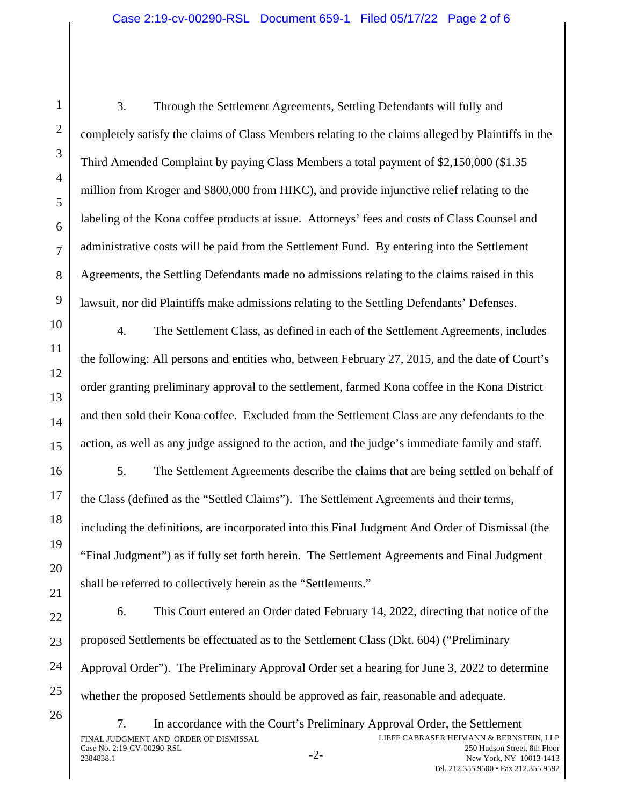3. Through the Settlement Agreements, Settling Defendants will fully and completely satisfy the claims of Class Members relating to the claims alleged by Plaintiffs in the Third Amended Complaint by paying Class Members a total payment of \$2,150,000 (\$1.35 million from Kroger and \$800,000 from HIKC), and provide injunctive relief relating to the labeling of the Kona coffee products at issue. Attorneys' fees and costs of Class Counsel and administrative costs will be paid from the Settlement Fund. By entering into the Settlement Agreements, the Settling Defendants made no admissions relating to the claims raised in this lawsuit, nor did Plaintiffs make admissions relating to the Settling Defendants' Defenses.

4. The Settlement Class, as defined in each of the Settlement Agreements, includes the following: All persons and entities who, between February 27, 2015, and the date of Court's order granting preliminary approval to the settlement, farmed Kona coffee in the Kona District and then sold their Kona coffee. Excluded from the Settlement Class are any defendants to the action, as well as any judge assigned to the action, and the judge's immediate family and staff.

5. The Settlement Agreements describe the claims that are being settled on behalf of the Class (defined as the "Settled Claims"). The Settlement Agreements and their terms, including the definitions, are incorporated into this Final Judgment And Order of Dismissal (the "Final Judgment") as if fully set forth herein. The Settlement Agreements and Final Judgment shall be referred to collectively herein as the "Settlements."

6. This Court entered an Order dated February 14, 2022, directing that notice of the proposed Settlements be effectuated as to the Settlement Class (Dkt. 604) ("Preliminary Approval Order"). The Preliminary Approval Order set a hearing for June 3, 2022 to determine whether the proposed Settlements should be approved as fair, reasonable and adequate.

FINAL JUDGMENT AND ORDER OF DISMISSAL Case No. 2:19-CV-00290-RSL Let the 2.12-C v-00220-RSE 2384838.1 -2-7. In accordance with the Court's Preliminary Approval Order, the Settlement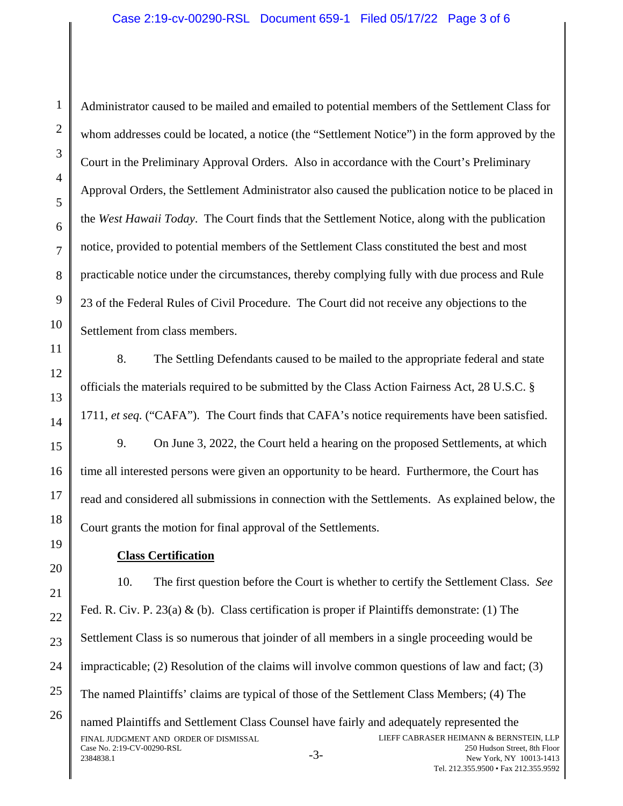Administrator caused to be mailed and emailed to potential members of the Settlement Class for whom addresses could be located, a notice (the "Settlement Notice") in the form approved by the Court in the Preliminary Approval Orders. Also in accordance with the Court's Preliminary Approval Orders, the Settlement Administrator also caused the publication notice to be placed in the *West Hawaii Today*. The Court finds that the Settlement Notice, along with the publication notice, provided to potential members of the Settlement Class constituted the best and most practicable notice under the circumstances, thereby complying fully with due process and Rule 23 of the Federal Rules of Civil Procedure. The Court did not receive any objections to the Settlement from class members.

8. The Settling Defendants caused to be mailed to the appropriate federal and state officials the materials required to be submitted by the Class Action Fairness Act, 28 U.S.C. § 1711, *et seq.* ("CAFA"). The Court finds that CAFA's notice requirements have been satisfied.

9. On June 3, 2022, the Court held a hearing on the proposed Settlements, at which time all interested persons were given an opportunity to be heard. Furthermore, the Court has read and considered all submissions in connection with the Settlements. As explained below, the Court grants the motion for final approval of the Settlements.

# **Class Certification**

10. The first question before the Court is whether to certify the Settlement Class. *See*  Fed. R. Civ. P. 23(a) & (b). Class certification is proper if Plaintiffs demonstrate: (1) The Settlement Class is so numerous that joinder of all members in a single proceeding would be impracticable; (2) Resolution of the claims will involve common questions of law and fact; (3) The named Plaintiffs' claims are typical of those of the Settlement Class Members; (4) The named Plaintiffs and Settlement Class Counsel have fairly and adequately represented the

FINAL JUDGMENT AND ORDER OF DISMISSAL Case No. 2:19-CV-00290-RSL Case 110. 2.1. 9-C v-00250-RSE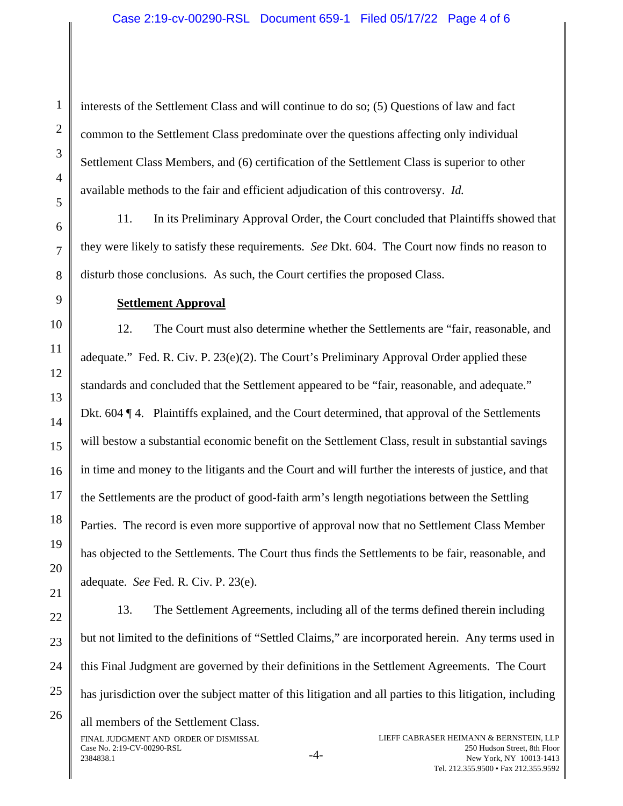interests of the Settlement Class and will continue to do so; (5) Questions of law and fact common to the Settlement Class predominate over the questions affecting only individual Settlement Class Members, and (6) certification of the Settlement Class is superior to other available methods to the fair and efficient adjudication of this controversy. *Id.* 

11. In its Preliminary Approval Order, the Court concluded that Plaintiffs showed that they were likely to satisfy these requirements. *See* Dkt. 604. The Court now finds no reason to disturb those conclusions. As such, the Court certifies the proposed Class.

#### **Settlement Approval**

12. The Court must also determine whether the Settlements are "fair, reasonable, and adequate." Fed. R. Civ. P. 23(e)(2). The Court's Preliminary Approval Order applied these standards and concluded that the Settlement appeared to be "fair, reasonable, and adequate." Dkt. 604 ¶ 4. Plaintiffs explained, and the Court determined, that approval of the Settlements will bestow a substantial economic benefit on the Settlement Class, result in substantial savings in time and money to the litigants and the Court and will further the interests of justice, and that the Settlements are the product of good-faith arm's length negotiations between the Settling Parties. The record is even more supportive of approval now that no Settlement Class Member has objected to the Settlements. The Court thus finds the Settlements to be fair, reasonable, and adequate. *See* Fed. R. Civ. P. 23(e).

13. The Settlement Agreements, including all of the terms defined therein including but not limited to the definitions of "Settled Claims," are incorporated herein. Any terms used in this Final Judgment are governed by their definitions in the Settlement Agreements. The Court has jurisdiction over the subject matter of this litigation and all parties to this litigation, including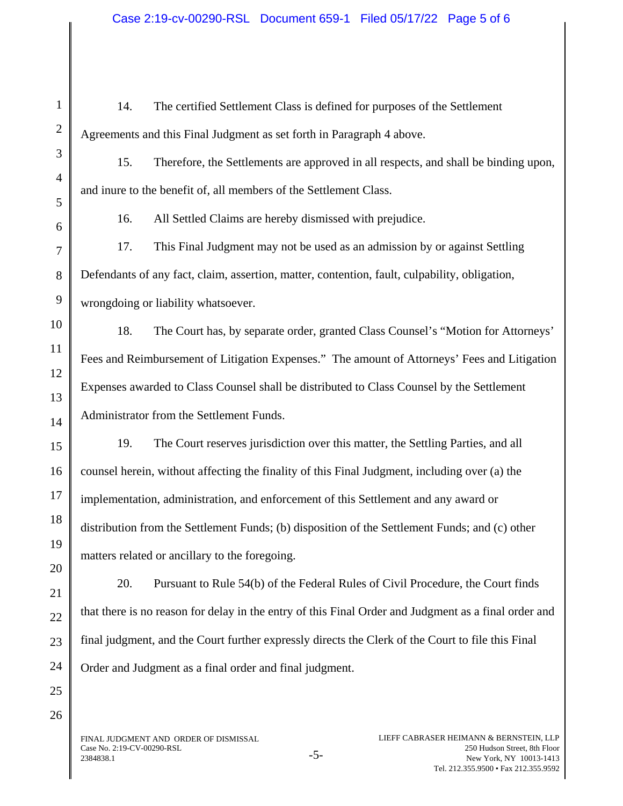| $\mathbf{1}$   | The certified Settlement Class is defined for purposes of the Settlement<br>14.                      |  |  |  |
|----------------|------------------------------------------------------------------------------------------------------|--|--|--|
| $\overline{2}$ | Agreements and this Final Judgment as set forth in Paragraph 4 above.                                |  |  |  |
| 3              | 15.<br>Therefore, the Settlements are approved in all respects, and shall be binding upon,           |  |  |  |
| $\overline{4}$ | and inure to the benefit of, all members of the Settlement Class.                                    |  |  |  |
| 5              | All Settled Claims are hereby dismissed with prejudice.<br>16.                                       |  |  |  |
| 6              | This Final Judgment may not be used as an admission by or against Settling<br>17.                    |  |  |  |
| 7              |                                                                                                      |  |  |  |
| 8              | Defendants of any fact, claim, assertion, matter, contention, fault, culpability, obligation,        |  |  |  |
| 9              | wrongdoing or liability whatsoever.                                                                  |  |  |  |
| 10             | 18.<br>The Court has, by separate order, granted Class Counsel's "Motion for Attorneys"              |  |  |  |
| 11             | Fees and Reimbursement of Litigation Expenses." The amount of Attorneys' Fees and Litigation         |  |  |  |
| 12             |                                                                                                      |  |  |  |
| 13             | Expenses awarded to Class Counsel shall be distributed to Class Counsel by the Settlement            |  |  |  |
| 14             | Administrator from the Settlement Funds.                                                             |  |  |  |
| 15             | 19.<br>The Court reserves jurisdiction over this matter, the Settling Parties, and all               |  |  |  |
| 16             | counsel herein, without affecting the finality of this Final Judgment, including over (a) the        |  |  |  |
| 17             | implementation, administration, and enforcement of this Settlement and any award or                  |  |  |  |
| 18             | distribution from the Settlement Funds; (b) disposition of the Settlement Funds; and (c) other       |  |  |  |
| 19             | matters related or ancillary to the foregoing.                                                       |  |  |  |
| 20             |                                                                                                      |  |  |  |
| 21             | 20.<br>Pursuant to Rule 54(b) of the Federal Rules of Civil Procedure, the Court finds               |  |  |  |
| 22             | that there is no reason for delay in the entry of this Final Order and Judgment as a final order and |  |  |  |
| 23             | final judgment, and the Court further expressly directs the Clerk of the Court to file this Final    |  |  |  |
| 24             | Order and Judgment as a final order and final judgment.                                              |  |  |  |
| 25             |                                                                                                      |  |  |  |

FINAL JUDGMENT AND ORDER OF DISMISSAL Case No. 2:19-CV-00290-RSL<br>2384838.1 - 5-